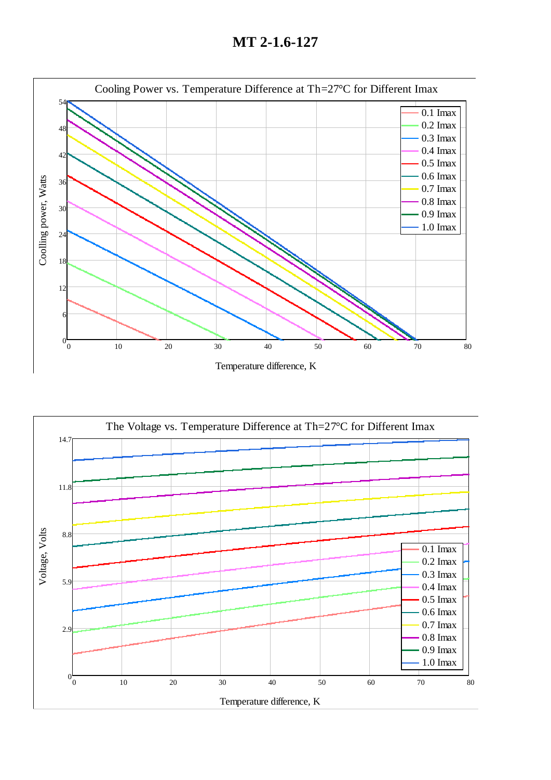**MT 2-1.6-127**